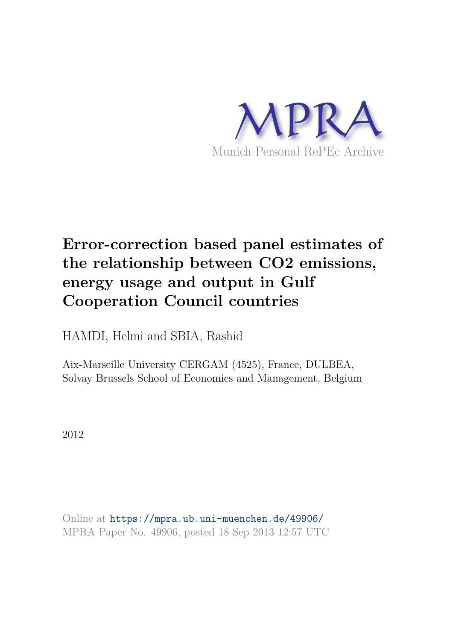

# **Error-correction based panel estimates of the relationship between CO2 emissions, energy usage and output in Gulf Cooperation Council countries**

HAMDI, Helmi and SBIA, Rashid

Aix-Marseille University CERGAM (4525), France, DULBEA, Solvay Brussels School of Economics and Management, Belgium

2012

Online at https://mpra.ub.uni-muenchen.de/49906/ MPRA Paper No. 49906, posted 18 Sep 2013 12:57 UTC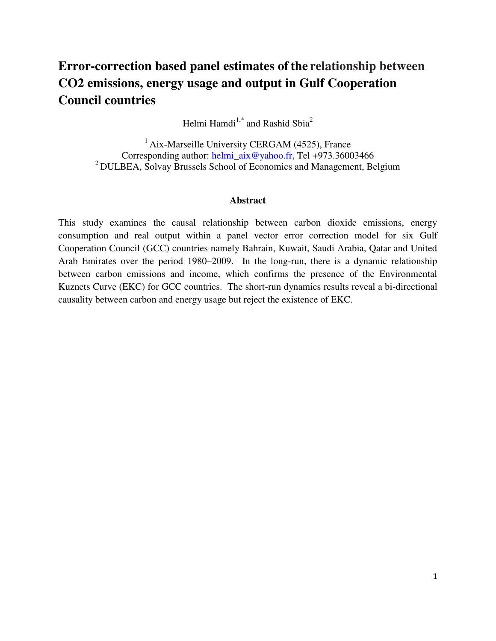# **Error-correction based panel estimates of the relationship between CO2 emissions, energy usage and output in Gulf Cooperation Council countries**

Helmi Hamdi<sup>1,\*</sup> and Rashid Sbia<sup>2</sup>

 $<sup>1</sup>$  Aix-Marseille University CERGAM (4525), France</sup> Corresponding author: helmi  $a$ ix@yahoo.fr, Tel +973.36003466 <sup>2</sup>DULBEA, Solvay Brussels School of Economics and Management, Belgium

# **Abstract**

This study examines the causal relationship between carbon dioxide emissions, energy consumption and real output within a panel vector error correction model for six Gulf Cooperation Council (GCC) countries namely Bahrain, Kuwait, Saudi Arabia, Qatar and United Arab Emirates over the period 1980–2009. In the long-run, there is a dynamic relationship between carbon emissions and income, which confirms the presence of the Environmental Kuznets Curve (EKC) for GCC countries. The short-run dynamics results reveal a bi-directional causality between carbon and energy usage but reject the existence of EKC.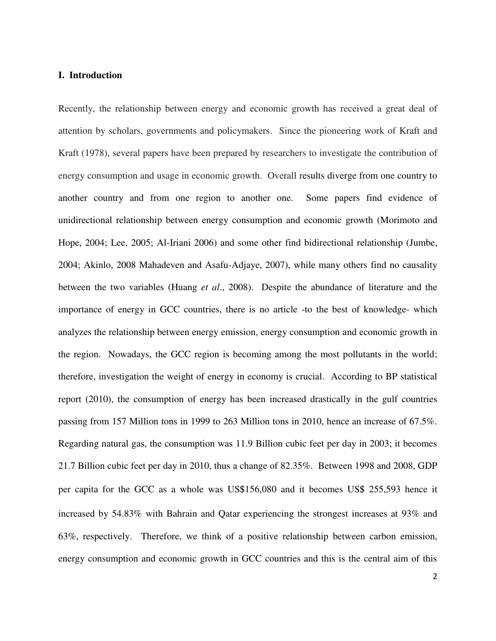# **I. Introduction**

Recently, the relationship between energy and economic growth has received a great deal of attention by scholars, governments and policymakers. Since the pioneering work of Kraft and Kraft (1978), several papers have been prepared by researchers to investigate the contribution of energy consumption and usage in economic growth. Overall results diverge from one country to another country and from one region to another one. Some papers find evidence of unidirectional relationship between energy consumption and economic growth (Morimoto and Hope, 2004; Lee, 2005; Al-Iriani 2006) and some other find bidirectional relationship (Jumbe, 2004; Akinlo, 2008 Mahadeven and Asafu-Adjaye, 2007), while many others find no causality between the two variables (Huang *et al*., 2008). Despite the abundance of literature and the importance of energy in GCC countries, there is no article -to the best of knowledge- which analyzes the relationship between energy emission, energy consumption and economic growth in the region. Nowadays, the GCC region is becoming among the most pollutants in the world; therefore, investigation the weight of energy in economy is crucial. According to BP statistical report (2010), the consumption of energy has been increased drastically in the gulf countries passing from 157 Million tons in 1999 to 263 Million tons in 2010, hence an increase of 67.5%. Regarding natural gas, the consumption was 11.9 Billion cubic feet per day in 2003; it becomes 21.7 Billion cubic feet per day in 2010, thus a change of 82.35%. Between 1998 and 2008, GDP per capita for the GCC as a whole was US\$156,080 and it becomes US\$ 255,593 hence it increased by 54.83% with Bahrain and Qatar experiencing the strongest increases at 93% and 63%, respectively. Therefore, we think of a positive relationship between carbon emission, energy consumption and economic growth in GCC countries and this is the central aim of this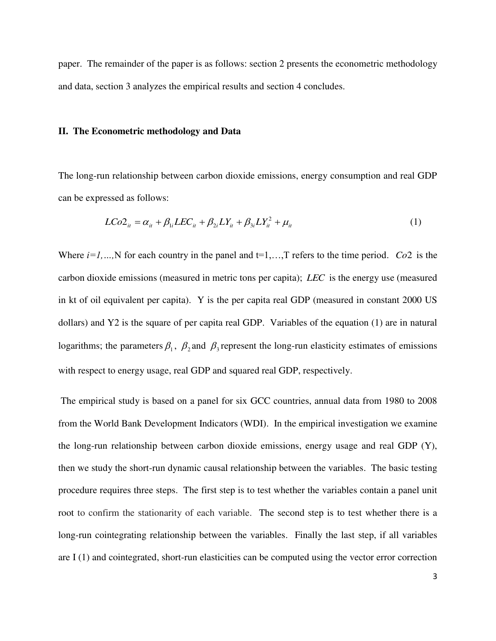paper. The remainder of the paper is as follows: section 2 presents the econometric methodology and data, section 3 analyzes the empirical results and section 4 concludes.

# **II. The Econometric methodology and Data**

The long-run relationship between carbon dioxide emissions, energy consumption and real GDP can be expressed as follows:

$$
LCo2_{it} = \alpha_{it} + \beta_{li} LEC_{it} + \beta_{2i} LY_{it} + \beta_{3i} LY_{it}^{2} + \mu_{it}
$$
 (1)

Where  $i=1,...,N$  for each country in the panel and  $t=1,...,T$  refers to the time period. *Co*2 is the carbon dioxide emissions (measured in metric tons per capita); *LEC* is the energy use (measured in kt of oil equivalent per capita). Y is the per capita real GDP (measured in constant 2000 US dollars) and Y2 is the square of per capita real GDP. Variables of the equation (1) are in natural logarithms; the parameters  $\beta_1$ ,  $\beta_2$  and  $\beta_3$  represent the long-run elasticity estimates of emissions with respect to energy usage, real GDP and squared real GDP, respectively.

 The empirical study is based on a panel for six GCC countries, annual data from 1980 to 2008 from the World Bank Development Indicators (WDI). In the empirical investigation we examine the long-run relationship between carbon dioxide emissions, energy usage and real GDP (Y), then we study the short-run dynamic causal relationship between the variables. The basic testing procedure requires three steps. The first step is to test whether the variables contain a panel unit root to confirm the stationarity of each variable. The second step is to test whether there is a long-run cointegrating relationship between the variables. Finally the last step, if all variables are I (1) and cointegrated, short-run elasticities can be computed using the vector error correction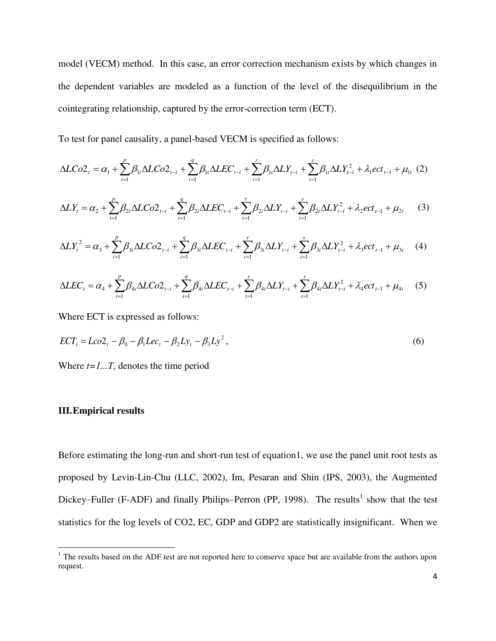model (VECM) method. In this case, an error correction mechanism exists by which changes in the dependent variables are modeled as a function of the level of the disequilibrium in the cointegrating relationship, captured by the error-correction term (ECT).

To test for panel causality, a panel-based VECM is specified as follows:

$$
\Delta LCo2_t = \alpha_1 + \sum_{i=1}^p \beta_{1i} \Delta LCo2_{t-i} + \sum_{i=1}^q \beta_{1i} \Delta LEC_{t-i} + \sum_{i=1}^r \beta_{1i} \Delta LY_{t-i} + \sum_{i=1}^s \beta_{1i} \Delta LY_{t-i}^2 + \lambda_1 ect_{t-1} + \mu_{1t} (2)
$$

$$
\Delta LY_{t} = \alpha_{2} + \sum_{i=1}^{p} \beta_{2i} \Delta L Co2_{t-i} + \sum_{i=1}^{q} \beta_{2i} \Delta L EC_{t-i} + \sum_{i=1}^{r} \beta_{2i} \Delta LY_{t-i} + \sum_{i=1}^{s} \beta_{2i} \Delta LY_{t-i}^{2} + \lambda_{2} ect_{t-1} + \mu_{2t}
$$
(3)

$$
\Delta LY_t^2 = \alpha_3 + \sum_{i=1}^p \beta_{3i} \Delta L C o_{t-i} + \sum_{i=1}^q \beta_{3i} \Delta L E C_{t-i} + \sum_{i=1}^r \beta_{3i} \Delta L Y_{t-i} + \sum_{i=1}^s \beta_{3i} \Delta L Y_{t-i}^2 + \lambda_3 e c t_{t-1} + \mu_{3t} \tag{4}
$$

$$
\Delta LEC_{t} = \alpha_{4} + \sum_{i=1}^{p} \beta_{4i} \Delta LCO_{t-i} + \sum_{i=1}^{q} \beta_{4i} \Delta LEC_{t-i} + \sum_{i=1}^{r} \beta_{4i} \Delta LY_{t-i} + \sum_{i=1}^{s} \beta_{4i} \Delta LY_{t-i}^{2} + \lambda_{4} ect_{t-1} + \mu_{4t}
$$
(5)

Where ECT is expressed as follows:

$$
ECTt = Lco2t - \beta_0 - \beta_1 Lec_t - \beta_2 Ly_t - \beta_3 Ly^2,
$$
 (6)

Where  $t=1...T$ , denotes the time period

# **III.Empirical results**

 $\overline{a}$ 

Before estimating the long-run and short-run test of equation1, we use the panel unit root tests as proposed by Levin-Lin-Chu (LLC, 2002), Im, Pesaran and Shin (IPS, 2003), the Augmented Dickey–Fuller (F-ADF) and finally Philips–Perron (PP, 1998). The results<sup>1</sup> show that the test statistics for the log levels of CO2, EC, GDP and GDP2 are statistically insignificant. When we

<sup>&</sup>lt;sup>1</sup> The results based on the ADF test are not reported here to conserve space but are available from the authors upon request.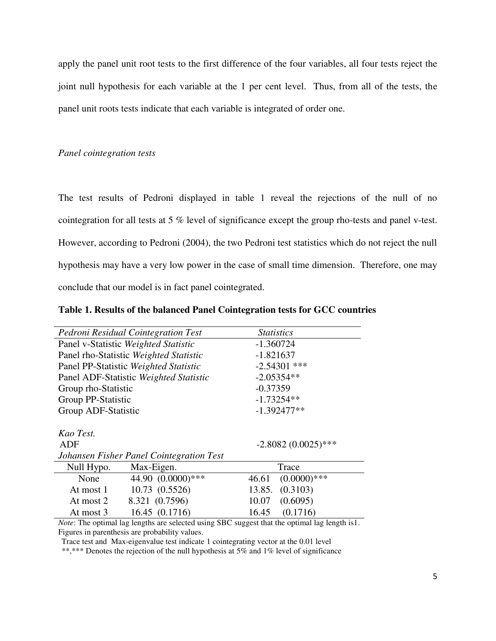apply the panel unit root tests to the first difference of the four variables, all four tests reject the joint null hypothesis for each variable at the 1 per cent level. Thus, from all of the tests, the panel unit roots tests indicate that each variable is integrated of order one.

#### *Panel cointegration tests*

The test results of Pedroni displayed in table 1 reveal the rejections of the null of no cointegration for all tests at 5 % level of significance except the group rho-tests and panel v-test. However, according to Pedroni (2004), the two Pedroni test statistics which do not reject the null hypothesis may have a very low power in the case of small time dimension. Therefore, one may conclude that our model is in fact panel cointegrated.

# **Table 1. Results of the balanced Panel Cointegration tests for GCC countries**

|                     | Pedroni Residual Cointegration Test      | <i>Statistics</i>       |  |  |  |
|---------------------|------------------------------------------|-------------------------|--|--|--|
|                     | Panel v-Statistic Weighted Statistic     | $-1.360724$             |  |  |  |
|                     | Panel rho-Statistic Weighted Statistic   | $-1.821637$             |  |  |  |
|                     | Panel PP-Statistic Weighted Statistic    | $-2.54301$ ***          |  |  |  |
|                     | Panel ADF-Statistic Weighted Statistic   | $-2.05354**$            |  |  |  |
| Group rho-Statistic |                                          | $-0.37359$              |  |  |  |
| Group PP-Statistic  |                                          | $-1.73254**$            |  |  |  |
| Group ADF-Statistic |                                          | $-1.392477**$           |  |  |  |
|                     |                                          |                         |  |  |  |
| Kao Test.           |                                          |                         |  |  |  |
| ADF                 |                                          | $-2.8082(0.0025)$ ***   |  |  |  |
|                     | Johansen Fisher Panel Cointegration Test |                         |  |  |  |
| Null Hypo.          | Max-Eigen.                               | Trace                   |  |  |  |
| None                | 44.90 (0.0000)***                        | $(0.0000)$ ***<br>46.61 |  |  |  |
| At most 1           | 10.73(0.5526)                            | (0.3103)<br>13.85.      |  |  |  |
| At most 2           | 8.321 (0.7596)                           | (0.6095)<br>10.07       |  |  |  |
| At most 3           | 16.45 (0.1716)                           | 16.45<br>(0.1716)       |  |  |  |
|                     |                                          |                         |  |  |  |

*Note*: The optimal lag lengths are selected using SBC suggest that the optimal lag length is1. Figures in parenthesis are probability values.

Trace test and Max-eigenvalue test indicate 1 cointegrating vector at the 0.01 level

\*\*\*\*\* Denotes the rejection of the null hypothesis at 5% and 1% level of significance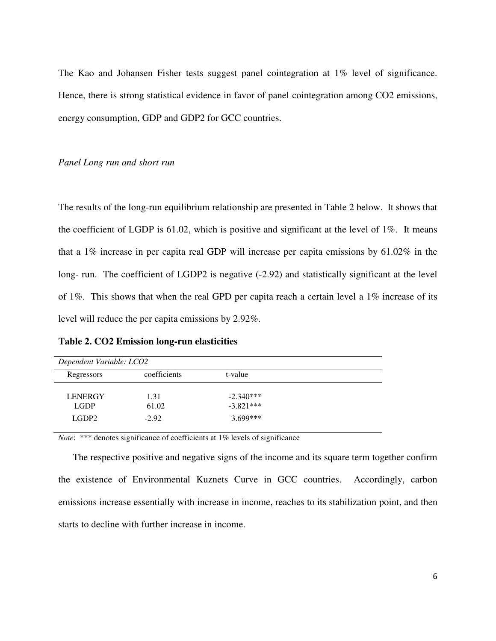The Kao and Johansen Fisher tests suggest panel cointegration at 1% level of significance. Hence, there is strong statistical evidence in favor of panel cointegration among CO2 emissions, energy consumption, GDP and GDP2 for GCC countries.

# *Panel Long run and short run*

The results of the long-run equilibrium relationship are presented in Table 2 below. It shows that the coefficient of LGDP is 61.02, which is positive and significant at the level of 1%. It means that a 1% increase in per capita real GDP will increase per capita emissions by 61.02% in the long- run. The coefficient of LGDP2 is negative  $(-2.92)$  and statistically significant at the level of 1%. This shows that when the real GPD per capita reach a certain level a 1% increase of its level will reduce the per capita emissions by 2.92%.

**Table 2. CO2 Emission long-run elasticities** 

| Dependent Variable: LCO2 |              |             |  |  |  |  |  |
|--------------------------|--------------|-------------|--|--|--|--|--|
|                          |              |             |  |  |  |  |  |
| Regressors               | coefficients | t-value     |  |  |  |  |  |
|                          |              |             |  |  |  |  |  |
| <b>LENERGY</b>           | 1.31         | $-2.340***$ |  |  |  |  |  |
|                          |              |             |  |  |  |  |  |
| <b>LGDP</b>              | 61.02        | $-3.821***$ |  |  |  |  |  |
|                          |              |             |  |  |  |  |  |
| LGDP <sub>2</sub>        | $-2.92$      | $3.699***$  |  |  |  |  |  |
|                          |              |             |  |  |  |  |  |

*Note*: \*\*\* denotes significance of coefficients at 1% levels of significance

The respective positive and negative signs of the income and its square term together confirm the existence of Environmental Kuznets Curve in GCC countries. Accordingly, carbon emissions increase essentially with increase in income, reaches to its stabilization point, and then starts to decline with further increase in income.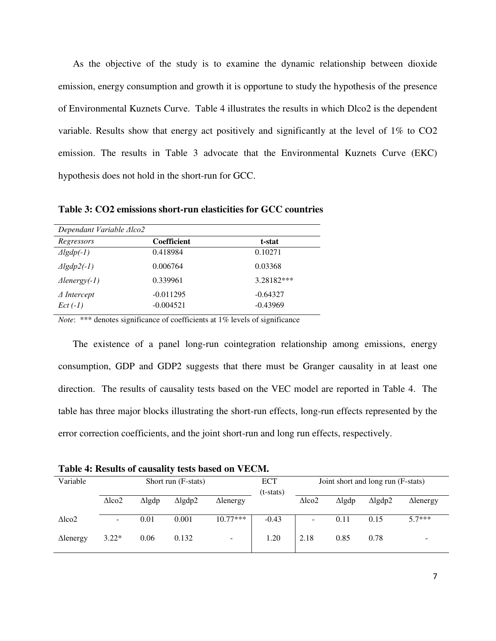As the objective of the study is to examine the dynamic relationship between dioxide emission, energy consumption and growth it is opportune to study the hypothesis of the presence of Environmental Kuznets Curve. Table 4 illustrates the results in which Dlco2 is the dependent variable. Results show that energy act positively and significantly at the level of 1% to CO2 emission. The results in Table 3 advocate that the Environmental Kuznets Curve (EKC) hypothesis does not hold in the short-run for GCC.

**Table 3: CO2 emissions short-run elasticities for GCC countries** 

| Dependant Variable ∆lco2           |                            |                          |  |  |  |  |
|------------------------------------|----------------------------|--------------------------|--|--|--|--|
| Regressors                         | <b>Coefficient</b>         | t-stat                   |  |  |  |  |
| $\triangle$ lgdp(-1)               | 0.418984                   | 0.10271                  |  |  |  |  |
| $\triangle$ lgdp2(-1)              | 0.006764                   | 0.03368                  |  |  |  |  |
| $\Delta$ lenergy $(-1)$            | 0.339961                   | 3.28182***               |  |  |  |  |
| $\triangle$ Intercept<br>$Ect(-1)$ | $-0.011295$<br>$-0.004521$ | $-0.64327$<br>$-0.43969$ |  |  |  |  |
|                                    |                            |                          |  |  |  |  |

*Note*: \*\*\* denotes significance of coefficients at 1% levels of significance

 The existence of a panel long-run cointegration relationship among emissions, energy consumption, GDP and GDP2 suggests that there must be Granger causality in at least one direction. The results of causality tests based on the VEC model are reported in Table 4. The table has three major blocks illustrating the short-run effects, long-run effects represented by the error correction coefficients, and the joint short-run and long run effects, respectively.

**Table 4: Results of causality tests based on VECM.** 

| Variable         | Short run (F-stats) |               |                |                   | <b>ECT</b>  | Joint short and long run (F-stats) |               |                |                  |
|------------------|---------------------|---------------|----------------|-------------------|-------------|------------------------------------|---------------|----------------|------------------|
|                  | $\Delta$ lco2       | $\Delta$ lgdp | $\Delta$ lgdp2 | $\Delta$ lenergy  | $(t-stats)$ | $\Delta$ lco2                      | $\Delta$ lgdp | $\Delta$ lgdp2 | $\Delta$ lenergy |
| $\Delta$ lco2    |                     | 0.01          | 0.001          | $10.77***$        | $-0.43$     |                                    | 0.11          | 0.15           | $5.7***$         |
| $\Delta$ lenergy | $3.22*$             | 0.06          | 0.132          | $\qquad \qquad -$ | 1.20        | 2.18                               | 0.85          | 0.78           |                  |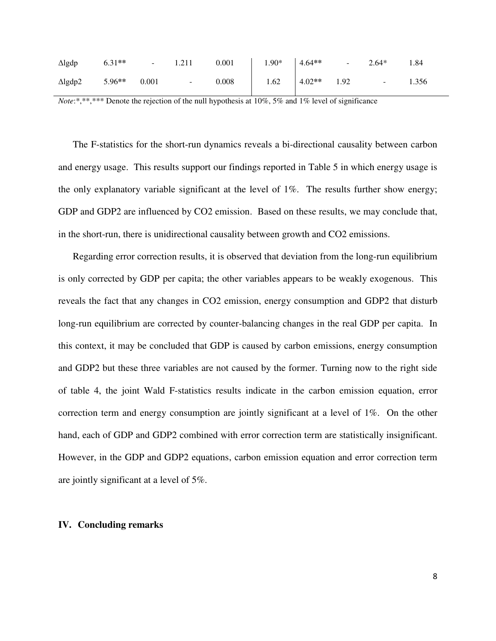| $\Delta$ lgdp  | $6.31** - 1.211$ |       |                          | 0.001 | $1.90*$ $4.64**$               | $-2.64*$ |                   | 1.84  |
|----------------|------------------|-------|--------------------------|-------|--------------------------------|----------|-------------------|-------|
| $\Delta$ lgdp2 | $5.96**$         | 0.001 | $\sim 10^{11}$ m $^{-1}$ | 0.008 | $1.62 \quad 4.02** \quad 1.92$ |          | <b>Contractor</b> | 1.356 |

*Note*:\*,\*\*,\*\*\* Denote the rejection of the null hypothesis at 10%, 5% and 1% level of significance

The F-statistics for the short-run dynamics reveals a bi-directional causality between carbon and energy usage. This results support our findings reported in Table 5 in which energy usage is the only explanatory variable significant at the level of 1%. The results further show energy; GDP and GDP2 are influenced by CO2 emission. Based on these results, we may conclude that, in the short-run, there is unidirectional causality between growth and CO2 emissions.

Regarding error correction results, it is observed that deviation from the long-run equilibrium is only corrected by GDP per capita; the other variables appears to be weakly exogenous. This reveals the fact that any changes in CO2 emission, energy consumption and GDP2 that disturb long-run equilibrium are corrected by counter-balancing changes in the real GDP per capita. In this context, it may be concluded that GDP is caused by carbon emissions, energy consumption and GDP2 but these three variables are not caused by the former. Turning now to the right side of table 4, the joint Wald F-statistics results indicate in the carbon emission equation, error correction term and energy consumption are jointly significant at a level of 1%. On the other hand, each of GDP and GDP2 combined with error correction term are statistically insignificant. However, in the GDP and GDP2 equations, carbon emission equation and error correction term are jointly significant at a level of 5%.

# **IV. Concluding remarks**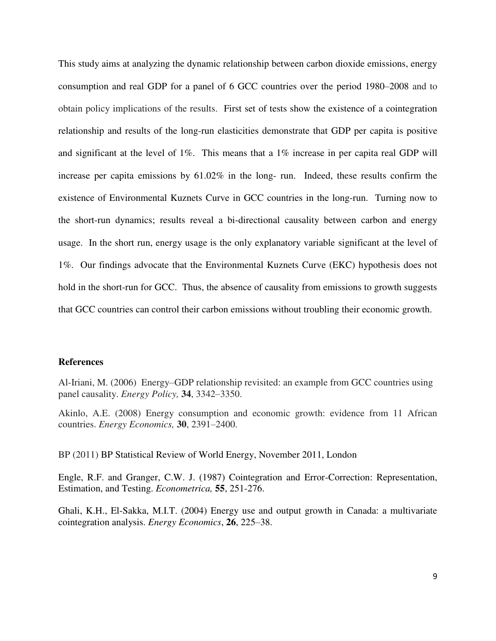This study aims at analyzing the dynamic relationship between carbon dioxide emissions, energy consumption and real GDP for a panel of 6 GCC countries over the period 1980–2008 and to obtain policy implications of the results. First set of tests show the existence of a cointegration relationship and results of the long-run elasticities demonstrate that GDP per capita is positive and significant at the level of  $1\%$ . This means that a  $1\%$  increase in per capita real GDP will increase per capita emissions by 61.02% in the long- run. Indeed, these results confirm the existence of Environmental Kuznets Curve in GCC countries in the long-run. Turning now to the short-run dynamics; results reveal a bi-directional causality between carbon and energy usage. In the short run, energy usage is the only explanatory variable significant at the level of 1%. Our findings advocate that the Environmental Kuznets Curve (EKC) hypothesis does not hold in the short-run for GCC. Thus, the absence of causality from emissions to growth suggests that GCC countries can control their carbon emissions without troubling their economic growth.

# **References**

Al-Iriani, M. (2006) Energy–GDP relationship revisited: an example from GCC countries using panel causality. *Energy Policy,* **34**, 3342–3350.

Akinlo, A.E. (2008) Energy consumption and economic growth: evidence from 11 African countries. *Energy Economics,* **30**, 2391–2400.

BP (2011) BP Statistical Review of World Energy, November 2011, London

Engle, R.F. and Granger, C.W. J. (1987) Cointegration and Error-Correction: Representation, Estimation, and Testing. *Econometrica,* **55**, 251-276.

Ghali, K.H., El-Sakka, M.I.T. (2004) Energy use and output growth in Canada: a multivariate cointegration analysis. *Energy Economics*, **26**, 225–38.